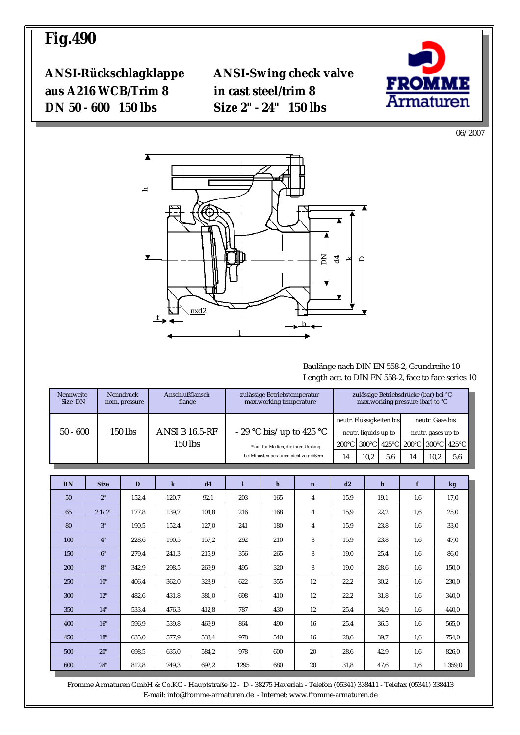# **Fig.490**

**ANSI-Rückschlagklappe ANSI-Swing check valve aus A216 WCB/Trim 8 in cast steel/trim 8 DN 50 - 600 150 lbs Size 2" - 24" 150 lbs**



06/2007



#### Baulänge nach DIN EN 558-2, Grundreihe 10 Length acc. to DIN EN 558-2, face to face series 10

| Nennweite<br>Size DN | <b>Nenndruck</b><br>nom. pressure | Anschlußflansch<br>flange        | zulässige Betriebstemperatur<br>max.working temperature                      | zulässige Betriebsdrücke (bar) bei °C<br>max.working pressure (bar) to °C |                                                  |     |                                       |      |
|----------------------|-----------------------------------|----------------------------------|------------------------------------------------------------------------------|---------------------------------------------------------------------------|--------------------------------------------------|-----|---------------------------------------|------|
| $50 - 600$           | 150 lbs                           | <b>ANSI B 16.5-RF</b><br>150 lbs | - 29 °C bis/up to 425 °C                                                     |                                                                           | neutr. Flüssigkeiten bis<br>neutr. liquids up to |     | neutr. Gase bis<br>neutr. gases up to |      |
|                      |                                   |                                  | * nur für Medien, die ihren Umfang<br>bei Minustemperaturen nicht vergrößern | 14                                                                        | 10.2                                             | 5.6 | 14                                    | 10,2 |

| <b>DN</b> | <b>Size</b> | D     | $\bf k$ | d4    | 1    | $\mathbf h$ | $\mathbf n$ | d2   | b    | f   | kg      |
|-----------|-------------|-------|---------|-------|------|-------------|-------------|------|------|-----|---------|
| 50        | 2"          | 152,4 | 120,7   | 92,1  | 203  | 165         | 4           | 15,9 | 19,1 | 1,6 | 17,0    |
| 65        | 21/2"       | 177,8 | 139,7   | 104,8 | 216  | 168         | 4           | 15,9 | 22,2 | 1,6 | 25,0    |
| 80        | 3"          | 190,5 | 152,4   | 127,0 | 241  | 180         | 4           | 15,9 | 23,8 | 1,6 | 33,0    |
| 100       | 4"          | 228,6 | 190,5   | 157,2 | 292  | 210         | 8           | 15,9 | 23,8 | 1,6 | 47,0    |
| 150       | 6"          | 279,4 | 241,3   | 215,9 | 356  | 265         | 8           | 19,0 | 25,4 | 1,6 | 86,0    |
| 200       | 8"          | 342,9 | 298,5   | 269,9 | 495  | 320         | 8           | 19,0 | 28,6 | 1,6 | 150,0   |
| 250       | 10"         | 406,4 | 362,0   | 323,9 | 622  | 355         | 12          | 22,2 | 30,2 | 1,6 | 230,0   |
| 300       | 12"         | 482,6 | 431,8   | 381,0 | 698  | 410         | 12          | 22,2 | 31,8 | 1,6 | 340,0   |
| 350       | 14"         | 533,4 | 476,3   | 412,8 | 787  | 430         | 12          | 25,4 | 34,9 | 1,6 | 440,0   |
| 400       | 16"         | 596,9 | 539,8   | 469,9 | 864  | 490         | 16          | 25,4 | 36,5 | 1,6 | 565,0   |
| 450       | 18"         | 635,0 | 577,9   | 533,4 | 978  | 540         | 16          | 28,6 | 39,7 | 1,6 | 754,0   |
| 500       | 20"         | 698,5 | 635,0   | 584,2 | 978  | 600         | 20          | 28,6 | 42,9 | 1,6 | 826,0   |
| 600       | 24"         | 812,8 | 749,3   | 692,2 | 1295 | 680         | 20          | 31,8 | 47,6 | 1,6 | 1.359,0 |

 Fromme Armaturen GmbH & Co.KG - Hauptstraße 12 - D - 38275 Haverlah - Telefon (05341) 338411 - Telefax (05341) 338413 E-mail: info@fromme-armaturen.de - Internet: www.fromme-armaturen.de